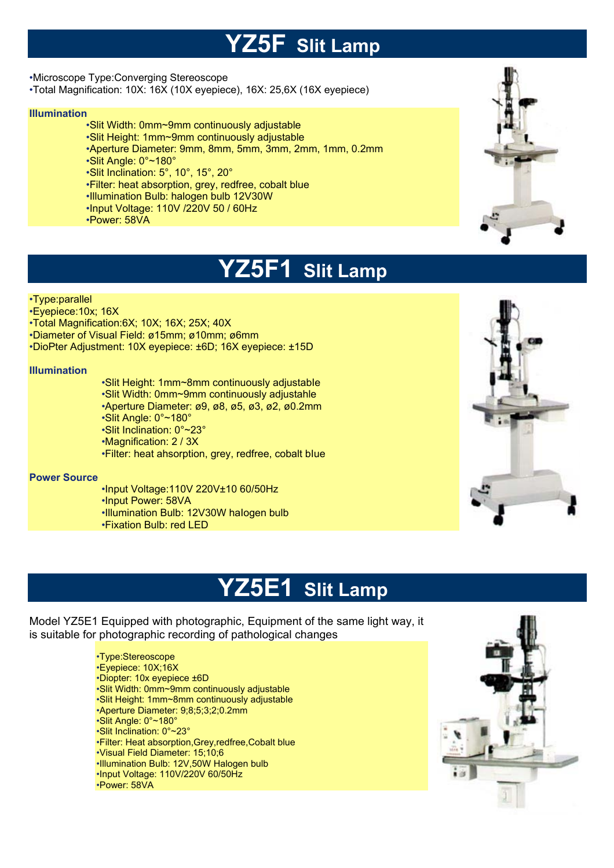## **YZ5F Slit Lamp**

•Microscope Type:Converging Stereoscope

•Total Magnification: 10X: 16X (10X eyepiece), 16X: 25,6X (16X eyepiece)

#### **Illumination**

- •Slit Width: 0mm~9mm continuously adjustable
- •Slit Height: 1mm~9mm continuously adjustable
- •Aperture Diameter: 9mm, 8mm, 5mm, 3mm, 2mm, 1mm, 0.2mm
- •Slit Angle: 0°~180°
- •Slit Inclination: 5°, 10°, 15°, 20°
- •Filter: heat absorption, grey, redfree, cobalt blue
- •Illumination Bulb: halogen bulb 12V30W
- •Input Voltage: 110V /220V 50 / 60Hz
- •Power: 58VA



## **YZ5F1 Slit Lamp**

#### •Type:parallel

- •Eyepiece:10x; 16X
- •Total Magnification:6X; 10X; 16X; 25X; 40X
- •Diameter of Visual Field: ø15mm; ø10mm; ø6mm
- •DioPter Adjustment: 10X eyepiece: ±6D; 16X eyepiece: ±15D

#### **Illumination**

•Slit Height: 1mm~8mm continuously adjustabIe •Slit Width: 0mm~9mm continuously adjustahle •Aperture Diameter: ø9, ø8, ø5, ø3, ø2, ø0.2mm •Slit Angle: 0°~180° •Slit Inclination: 0°~23° •Magnification: 2 / 3X •Filter: heat ahsorption, grey, redfree, cobalt bIue

#### **Power Source**

- •Input Voltage:110V 220V±10 60/50Hz •Input Power: 58VA
- •Illumination Bulb: 12V30W haIogen bulb
- •Fixation Bulb: red LED



## **YZ5E1 Slit Lamp**

Model YZ5E1 Equipped with photographic, Equipment of the same light way, it is suitable for photographic recording of pathological changes

> •Type:Stereoscope •Eyepiece: 10X;16X •Diopter: 10x eyepiece ±6D •Slit Width: 0mm~9mm continuously adjustable •Slit Height: 1mm~8mm continuously adjustable •Aperture Diameter: 9;8;5;3;2;0.2mm •Slit Angle: 0°~180° •Slit Inclination: 0°~23° •Filter: Heat absorption,Grey,redfree,Cobalt blue •Visual Field Diameter: 15;10;6 •Illumination Bulb: 12V,50W Halogen bulb •Input Voltage: 110V/220V 60/50Hz •Power: 58VA